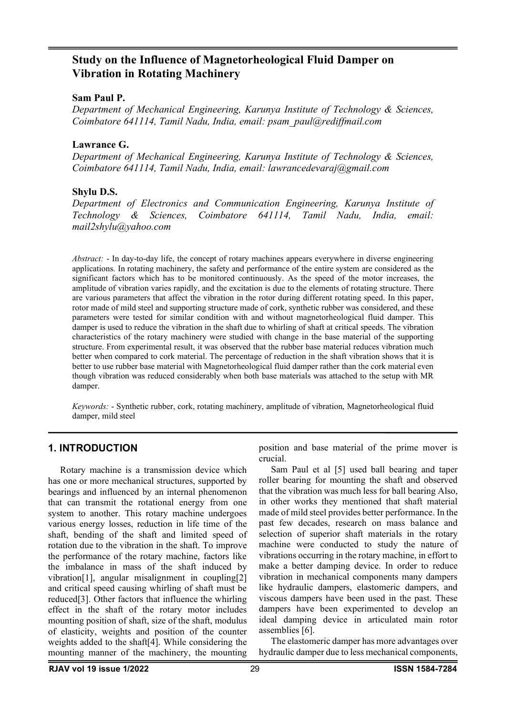## **Study on the Influence of Magnetorheological Fluid Damper on Vibration in Rotating Machinery**

#### **Sam Paul P.**

*Department of Mechanical Engineering, Karunya Institute of Technology & Sciences, Coimbatore 641114, Tamil Nadu, India, email: [psam\\_paul@rediffmail.com](mailto:psam_paul@rediffmail.com)*

#### **Lawrance G.**

*Department of Mechanical Engineering, Karunya Institute of Technology & Sciences, Coimbatore 641114, Tamil Nadu, India, email: [lawrancedevaraj@gmail.com](mailto:lawrancedevaraj@gmail.com)*

#### **Shylu D.S.**

*Department of Electronics and Communication Engineering, Karunya Institute of Technology & Sciences, Coimbatore 641114, Tamil Nadu, India, email: mail2shylu@yahoo.com*

*Abstract:* - In day-to-day life, the concept of rotary machines appears everywhere in diverse engineering applications. In rotating machinery, the safety and performance of the entire system are considered as the significant factors which has to be monitored continuously. As the speed of the motor increases, the amplitude of vibration varies rapidly, and the excitation is due to the elements of rotating structure. There are various parameters that affect the vibration in the rotor during different rotating speed. In this paper, rotor made of mild steel and supporting structure made of cork, synthetic rubber was considered, and these parameters were tested for similar condition with and without magnetorheological fluid damper. This damper is used to reduce the vibration in the shaft due to whirling of shaft at critical speeds. The vibration characteristics of the rotary machinery were studied with change in the base material of the supporting structure. From experimental result, it was observed that the rubber base material reduces vibration much better when compared to cork material. The percentage of reduction in the shaft vibration shows that it is better to use rubber base material with Magnetorheological fluid damper rather than the cork material even though vibration was reduced considerably when both base materials was attached to the setup with MR damper.

*Keywords:* - Synthetic rubber, cork, rotating machinery, amplitude of vibration, Magnetorheological fluid damper, mild steel

#### **1. INTRODUCTION**

Rotary machine is a transmission device which has one or more mechanical structures, supported by bearings and influenced by an internal phenomenon that can transmit the rotational energy from one system to another. This rotary machine undergoes various energy losses, reduction in life time of the shaft, bending of the shaft and limited speed of rotation due to the vibration in the shaft. To improve the performance of the rotary machine, factors like the imbalance in mass of the shaft induced by vibration[1], angular misalignment in coupling[2] and critical speed causing whirling of shaft must be reduced[3]. Other factors that influence the whirling effect in the shaft of the rotary motor includes mounting position of shaft, size of the shaft, modulus of elasticity, weights and position of the counter weights added to the shaft[4]. While considering the mounting manner of the machinery, the mounting

position and base material of the prime mover is crucial.

Sam Paul et al [5] used ball bearing and taper roller bearing for mounting the shaft and observed that the vibration was much less for ball bearing Also, in other works they mentioned that shaft material made of mild steel provides better performance. In the past few decades, research on mass balance and selection of superior shaft materials in the rotary machine were conducted to study the nature of vibrations occurring in the rotary machine, in effort to make a better damping device. In order to reduce vibration in mechanical components many dampers like hydraulic dampers, elastomeric dampers, and viscous dampers have been used in the past. These dampers have been experimented to develop an ideal damping device in articulated main rotor assemblies [6].

The elastomeric damper has more advantages over hydraulic damper due to less mechanical components,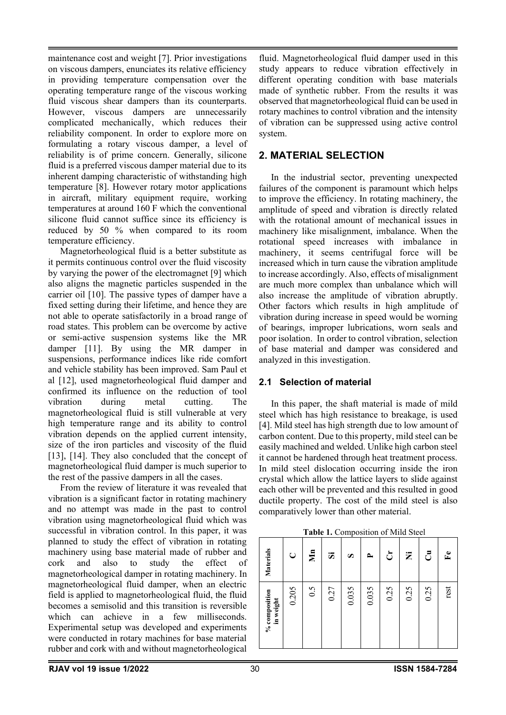maintenance cost and weight [7]. Prior investigations on viscous dampers, enunciates its relative efficiency in providing temperature compensation over the operating temperature range of the viscous working fluid viscous shear dampers than its counterparts. However, viscous dampers are unnecessarily complicated mechanically, which reduces their reliability component. In order to explore more on formulating a rotary viscous damper, a level of reliability is of prime concern. Generally, silicone fluid is a preferred viscous damper material due to its inherent damping characteristic of withstanding high temperature [8]. However rotary motor applications in aircraft, military equipment require, working temperatures at around 160 F which the conventional silicone fluid cannot suffice since its efficiency is reduced by 50 % when compared to its room temperature efficiency.

Magnetorheological fluid is a better substitute as it permits continuous control over the fluid viscosity by varying the power of the electromagnet [9] which also aligns the magnetic particles suspended in the carrier oil [10]. The passive types of damper have a fixed setting during their lifetime, and hence they are not able to operate satisfactorily in a broad range of road states. This problem can be overcome by active or semi-active suspension systems like the MR damper [11]. By using the MR damper in suspensions, performance indices like ride comfort and vehicle stability has been improved. Sam Paul et al [12], used magnetorheological fluid damper and confirmed its influence on the reduction of tool vibration during metal cutting. The magnetorheological fluid is still vulnerable at very high temperature range and its ability to control vibration depends on the applied current intensity, size of the iron particles and viscosity of the fluid [13], [14]. They also concluded that the concept of magnetorheological fluid damper is much superior to the rest of the passive dampers in all the cases.

From the review of literature it was revealed that vibration is a significant factor in rotating machinery and no attempt was made in the past to control vibration using magnetorheological fluid which was successful in vibration control. In this paper, it was planned to study the effect of vibration in rotating machinery using base material made of rubber and cork and also to study the effect of magnetorheological damper in rotating machinery. In magnetorheological fluid damper, when an electric field is applied to magnetorheological fluid, the fluid becomes a semisolid and this transition is reversible which can achieve in a few milliseconds. Experimental setup was developed and experiments were conducted in rotary machines for base material rubber and cork with and without magnetorheological

fluid. Magnetorheological fluid damper used in this study appears to reduce vibration effectively in different operating condition with base materials made of synthetic rubber. From the results it was observed that magnetorheological fluid can be used in rotary machines to control vibration and the intensity of vibration can be suppressed using active control system.

### **2. MATERIAL SELECTION**

In the industrial sector, preventing unexpected failures of the component is paramount which helps to improve the efficiency. In rotating machinery, the amplitude of speed and vibration is directly related with the rotational amount of mechanical issues in machinery like misalignment, imbalance. When the rotational speed increases with imbalance in machinery, it seems centrifugal force will be increased which in turn cause the vibration amplitude to increase accordingly. Also, effects of misalignment are much more complex than unbalance which will also increase the amplitude of vibration abruptly. Other factors which results in high amplitude of vibration during increase in speed would be worning of bearings, improper lubrications, worn seals and poor isolation. In order to control vibration, selection of base material and damper was considered and analyzed in this investigation.

### **2.1 Selection of material**

In this paper, the shaft material is made of mild steel which has high resistance to breakage, is used [4]. Mild steel has high strength due to low amount of carbon content. Due to this property, mild steel can be easily machined and welded. Unlike high carbon steel it cannot be hardened through heat treatment process. In mild steel dislocation occurring inside the iron crystal which allow the lattice layers to slide against each other will be prevented and this resulted in good ductile property. The cost of the mild steel is also comparatively lower than other material.

**Table 1.** Composition of Mild Steel

| % composition<br>in weight | Materials        |
|----------------------------|------------------|
| 0.205                      | C                |
| 0.5                        | $\sum_{i=1}^{n}$ |
| 0.27                       | ä,               |
| 0.035                      | S                |
| 0.035                      | ≏                |
| 0.25                       | ٹ                |
| 0.25                       | Ż                |
| 0.25                       | ి                |
| rest                       | $\mathbf{F}$     |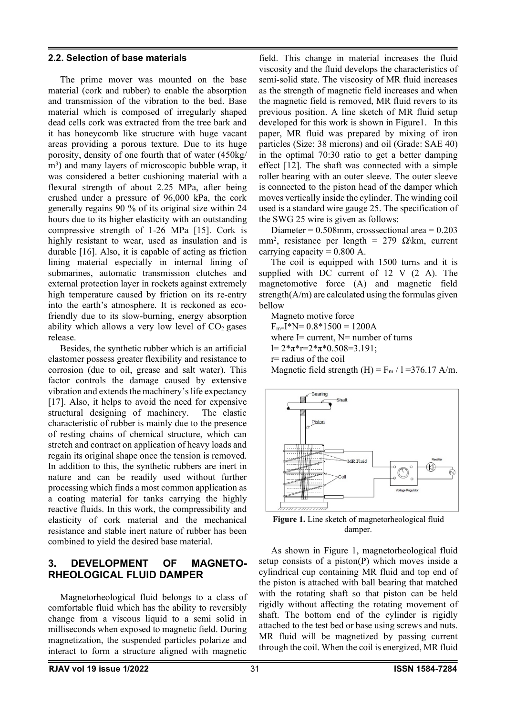#### **2.2. Selection of base materials**

The prime mover was mounted on the base material (cork and rubber) to enable the absorption and transmission of the vibration to the bed. Base material which is composed of irregularly shaped dead cells cork was extracted from the tree bark and it has honeycomb like structure with huge vacant areas providing a porous texture. Due to its huge porosity, density of one fourth that of water (450kg/ m<sup>3</sup>) and many layers of microscopic bubble wrap, it was considered a better cushioning material with a flexural strength of about 2.25 MPa, after being crushed under a pressure of 96,000 kPa, the cork generally regains 90 % of its original size within 24 hours due to its higher elasticity with an outstanding compressive strength of 1-26 MPa [15]. Cork is highly resistant to wear, used as insulation and is durable [16]. Also, it is capable of acting as friction lining material especially in internal lining of submarines, automatic transmission clutches and external protection layer in rockets against extremely high temperature caused by friction on its re-entry into the earth's atmosphere. It is reckoned as ecofriendly due to its slow-burning, energy absorption ability which allows a very low level of  $CO<sub>2</sub>$  gases release.

Besides, the synthetic rubber which is an artificial elastomer possess greater flexibility and resistance to corrosion (due to oil, grease and salt water). This factor controls the damage caused by extensive vibration and extends the machinery's life expectancy [17]. Also, it helps to avoid the need for expensive structural designing of machinery. The elastic characteristic of rubber is mainly due to the presence of resting chains of chemical structure, which can stretch and contract on application of heavy loads and regain its original shape once the tension is removed. In addition to this, the synthetic rubbers are inert in nature and can be readily used without further processing which finds a most common application as a coating material for tanks carrying the highly reactive fluids. In this work, the compressibility and elasticity of cork material and the mechanical resistance and stable inert nature of rubber has been combined to yield the desired base material.

### **3. DEVELOPMENT OF MAGNETO-RHEOLOGICAL FLUID DAMPER**

Magnetorheological fluid belongs to a class of comfortable fluid which has the ability to reversibly change from a viscous liquid to a semi solid in milliseconds when exposed to magnetic field. During magnetization, the suspended particles polarize and interact to form a structure aligned with magnetic

field. This change in material increases the fluid viscosity and the fluid develops the characteristics of semi-solid state. The viscosity of MR fluid increases as the strength of magnetic field increases and when the magnetic field is removed, MR fluid revers to its previous position. A line sketch of MR fluid setup developed for this work is shown in Figure1. In this paper, MR fluid was prepared by mixing of iron particles (Size: 38 microns) and oil (Grade: SAE 40) in the optimal 70:30 ratio to get a better damping effect [12]. The shaft was connected with a simple roller bearing with an outer sleeve. The outer sleeve is connected to the piston head of the damper which moves vertically inside the cylinder. The winding coil used is a standard wire gauge 25. The specification of the SWG 25 wire is given as follows:

Diameter =  $0.508$ mm, crosssectional area =  $0.203$ mm<sup>2</sup>, resistance per length = 279  $\Omega$ \km, current carrying capacity =  $0.800$  A.

The coil is equipped with 1500 turns and it is supplied with DC current of 12 V (2 A). The magnetomotive force (A) and magnetic field strength $(A/m)$  are calculated using the formulas given bellow

Magneto motive force  $F<sub>m</sub>=I<sup>*</sup>N= 0.8*1500 = 1200A$ where  $I=$  current,  $N=$  number of turns  $l= 2*\pi * r=2*\pi * 0.508=3.191;$ r= radius of the coil Magnetic field strength  $(H) = F_m / 1 = 376.17$  A/m.



**Figure 1.** Line sketch of magnetorheological fluid damper.

As shown in Figure 1, magnetorheological fluid setup consists of a piston(P) which moves inside a cylindrical cup containing MR fluid and top end of the piston is attached with ball bearing that matched with the rotating shaft so that piston can be held rigidly without affecting the rotating movement of shaft. The bottom end of the cylinder is rigidly attached to the test bed or base using screws and nuts. MR fluid will be magnetized by passing current through the coil. When the coil is energized, MR fluid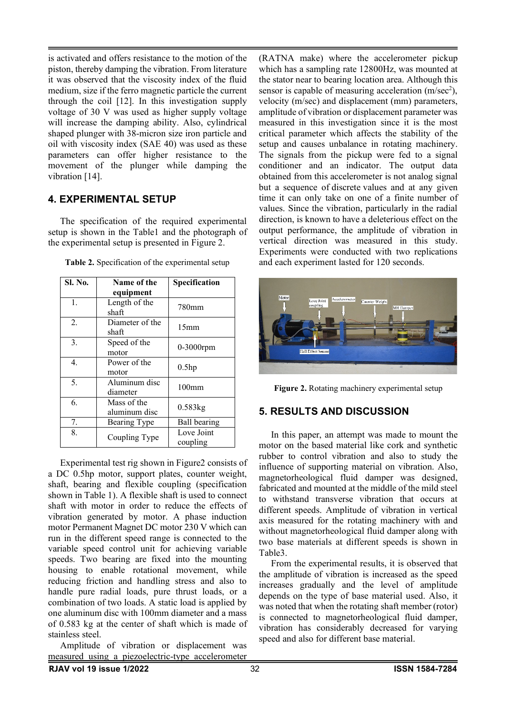is activated and offers resistance to the motion of the piston, thereby damping the vibration. From literature it was observed that the viscosity index of the fluid medium, size if the ferro magnetic particle the current through the coil [12]. In this investigation supply voltage of 30 V was used as higher supply voltage will increase the damping ability. Also, cylindrical shaped plunger with 38-micron size iron particle and oil with viscosity index (SAE 40) was used as these parameters can offer higher resistance to the movement of the plunger while damping the vibration [14].

### **4. EXPERIMENTAL SETUP**

The specification of the required experimental setup is shown in the Table1 and the photograph of the experimental setup is presented in Figure 2.

| Sl. No. | Name of the                  | Specification          |  |
|---------|------------------------------|------------------------|--|
|         | equipment                    |                        |  |
| 1.      | Length of the<br>shaft       | 780mm                  |  |
| 2.      | Diameter of the<br>shaft     | 15 <sub>mm</sub>       |  |
| 3.      | Speed of the<br>motor        | 0-3000rpm              |  |
| 4.      | Power of the<br>motor        | 0.5hp                  |  |
| 5.      | Aluminum disc<br>diameter    | 100 <sub>mm</sub>      |  |
| 6.      | Mass of the<br>aluminum disc | $0.583$ kg             |  |
| 7.      | Bearing Type                 | <b>Ball bearing</b>    |  |
| 8.      | Coupling Type                | Love Joint<br>coupling |  |

**Table 2.** Specification of the experimental setup

Experimental test rig shown in Figure2 consists of a DC 0.5hp motor, support plates, counter weight, shaft, bearing and flexible coupling (specification shown in Table 1). A flexible shaft is used to connect shaft with motor in order to reduce the effects of vibration generated by motor. A phase induction motor Permanent Magnet DC motor 230 V which can run in the different speed range is connected to the variable speed control unit for achieving variable speeds. Two bearing are fixed into the mounting housing to enable rotational movement, while reducing friction and handling stress and also to handle pure radial loads, pure thrust loads, or a combination of two loads. A static load is applied by one aluminum disc with 100mm diameter and a mass of 0.583 kg at the center of shaft which is made of stainless steel.

Amplitude of vibration or displacement was measured using a piezoelectric-type accelerometer

(RATNA make) where the accelerometer pickup which has a sampling rate 12800Hz, was mounted at the stator near to bearing location area. Although this sensor is capable of measuring acceleration  $(m/sec<sup>2</sup>)$ , velocity (m/sec) and displacement (mm) parameters, amplitude of vibration or displacement parameter was measured in this investigation since it is the most critical parameter which affects the stability of the setup and causes unbalance in rotating machinery. The signals from the pickup were fed to a signal conditioner and an indicator. The output data obtained from this accelerometer is not analog signal but a sequence of discrete values and at any given time it can only take on one of a finite number of values. Since the vibration, particularly in the radial direction, is known to have a deleterious effect on the output performance, the amplitude of vibration in vertical direction was measured in this study. Experiments were conducted with two replications and each experiment lasted for 120 seconds.



**Figure 2.** Rotating machinery experimental setup

## **5. RESULTS AND DISCUSSION**

In this paper, an attempt was made to mount the motor on the based material like cork and synthetic rubber to control vibration and also to study the influence of supporting material on vibration. Also, magnetorheological fluid damper was designed, fabricated and mounted at the middle of the mild steel to withstand transverse vibration that occurs at different speeds. Amplitude of vibration in vertical axis measured for the rotating machinery with and without magnetorheological fluid damper along with two base materials at different speeds is shown in Table3.

From the experimental results, it is observed that the amplitude of vibration is increased as the speed increases gradually and the level of amplitude depends on the type of base material used. Also, it was noted that when the rotating shaft member (rotor) is connected to magnetorheological fluid damper, vibration has considerably decreased for varying speed and also for different base material.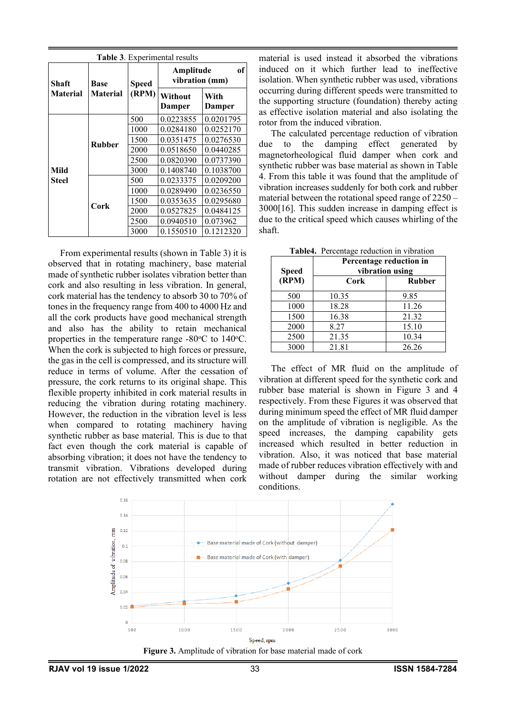| <b>Table 3.</b> Experimental results |                         |                       |                                   |                |  |  |
|--------------------------------------|-------------------------|-----------------------|-----------------------------------|----------------|--|--|
| Shaft                                | Base<br><b>Material</b> | <b>Speed</b><br>(RPM) | оf<br>Amplitude<br>vibration (mm) |                |  |  |
| <b>Material</b>                      |                         |                       | Without<br>Damper                 | With<br>Damper |  |  |
| Mild<br>Steel                        | <b>Rubber</b>           | 500                   | 0.0223855                         | 0.0201795      |  |  |
|                                      |                         | 1000                  | 0.0284180                         | 0.0252170      |  |  |
|                                      |                         | 1500                  | 0.0351475                         | 0.0276530      |  |  |
|                                      |                         | 2000                  | 0.0518650                         | 0.0440285      |  |  |
|                                      |                         | 2500                  | 0.0820390                         | 0.0737390      |  |  |
|                                      |                         | 3000                  | 0.1408740                         | 0.1038700      |  |  |
|                                      | Cork                    | 500                   | 0.0233375                         | 0.0209200      |  |  |
|                                      |                         | 1000                  | 0.0289490                         | 0.0236550      |  |  |
|                                      |                         | 1500                  | 0.0353635                         | 0.0295680      |  |  |
|                                      |                         | 2000                  | 0.0527825                         | 0.0484125      |  |  |
|                                      |                         | 2500                  | 0.0940510                         | 0.073962       |  |  |
|                                      |                         | 3000                  | 0.1550510                         | 0.1212320      |  |  |

From experimental results (shown in Table 3) it is observed that in rotating machinery, base material made of synthetic rubber isolates vibration better than cork and also resulting in less vibration. In general, cork material has the tendency to absorb 30 to 70% of tones in the frequency range from 400 to 4000 Hz and all the cork products have good mechanical strength and also has the ability to retain mechanical properties in the temperature range  $-80^{\circ}$ C to  $140^{\circ}$ C. When the cork is subjected to high forces or pressure, the gas in the cell is compressed, and its structure will reduce in terms of volume. After the cessation of pressure, the cork returns to its original shape. This flexible property inhibited in cork material results in reducing the vibration during rotating machinery. However, the reduction in the vibration level is less when compared to rotating machinery having synthetic rubber as base material. This is due to that fact even though the cork material is capable of absorbing vibration; it does not have the tendency to transmit vibration. Vibrations developed during rotation are not effectively transmitted when cork

material is used instead it absorbed the vibrations induced on it which further lead to ineffective isolation. When synthetic rubber was used, vibrations occurring during different speeds were transmitted to the supporting structure (foundation) thereby acting as effective isolation material and also isolating the rotor from the induced vibration.

The calculated percentage reduction of vibration due to the damping effect generated by magnetorheological fluid damper when cork and synthetic rubber was base material as shown in Table 4. From this table it was found that the amplitude of vibration increases suddenly for both cork and rubber material between the rotational speed range of 2250 – 3000[16]. This sudden increase in damping effect is due to the critical speed which causes whirling of the shaft.

| Table4. Percentage reduction in vibration |                                            |               |  |  |
|-------------------------------------------|--------------------------------------------|---------------|--|--|
|                                           | Percentage reduction in<br>vibration using |               |  |  |
| <b>Speed</b>                              |                                            |               |  |  |
| (RPM)                                     | Cork                                       | <b>Rubber</b> |  |  |
| 500                                       | 10.35                                      | 9.85          |  |  |
| 1000                                      | 18.28                                      | 11.26         |  |  |
| 1500                                      | 16.38                                      | 21.32         |  |  |
| 2000                                      | 8.27                                       | 15.10         |  |  |
| 2500                                      | 21.35                                      | 10.34         |  |  |
| 3000                                      | 21.81                                      | 26.26         |  |  |

The effect of MR fluid on the amplitude of vibration at different speed for the synthetic cork and rubber base material is shown in Figure 3 and 4 respectively. From these Figures it was observed that during minimum speed the effect of MR fluid damper on the amplitude of vibration is negligible. As the speed increases, the damping capability gets increased which resulted in better reduction in vibration. Also, it was noticed that base material made of rubber reduces vibration effectively with and without damper during the similar working conditions.



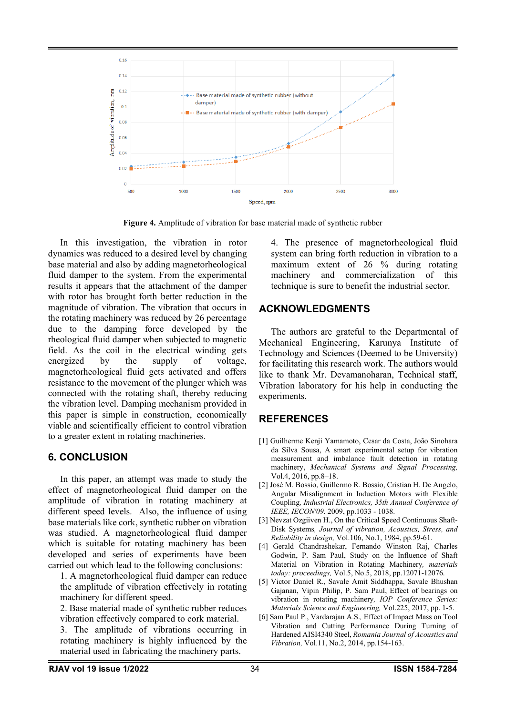

**Figure 4.** Amplitude of vibration for base material made of synthetic rubber

In this investigation, the vibration in rotor dynamics was reduced to a desired level by changing base material and also by adding magnetorheological fluid damper to the system. From the experimental results it appears that the attachment of the damper with rotor has brought forth better reduction in the magnitude of vibration. The vibration that occurs in the rotating machinery was reduced by 26 percentage due to the damping force developed by the rheological fluid damper when subjected to magnetic field. As the coil in the electrical winding gets energized by the supply of voltage, magnetorheological fluid gets activated and offers resistance to the movement of the plunger which was connected with the rotating shaft, thereby reducing the vibration level. Damping mechanism provided in this paper is simple in construction, economically viable and scientifically efficient to control vibration to a greater extent in rotating machineries.

### **6. CONCLUSION**

In this paper, an attempt was made to study the effect of magnetorheological fluid damper on the amplitude of vibration in rotating machinery at different speed levels. Also, the influence of using base materials like cork, synthetic rubber on vibration was studied. A magnetorheological fluid damper which is suitable for rotating machinery has been developed and series of experiments have been carried out which lead to the following conclusions:

1. A magnetorheological fluid damper can reduce the amplitude of vibration effectively in rotating machinery for different speed.

2. Base material made of synthetic rubber reduces vibration effectively compared to cork material.

3. The amplitude of vibrations occurring in rotating machinery is highly influenced by the material used in fabricating the machinery parts.

4. The presence of magnetorheological fluid system can bring forth reduction in vibration to a maximum extent of 26 % during rotating machinery and commercialization of this technique is sure to benefit the industrial sector.

# **ACKNOWLEDGMENTS**

The authors are grateful to the Departmental of Mechanical Engineering, Karunya Institute of Technology and Sciences (Deemed to be University) for facilitating this research work. The authors would like to thank Mr. Devamanoharan, Technical staff, Vibration laboratory for his help in conducting the experiments.

## **REFERENCES**

- [1] Guilherme Kenji Yamamoto, Cesar da Costa, João Sinohara da Silva Sousa, A smart experimental setup for vibration measurement and imbalance fault detection in rotating machinery, *Mechanical Systems and Signal Processing,*  Vol.4, 2016, pp.8–18.
- [2] José M. Bossio, Guillermo R. Bossio, Cristian H. De Angelo, Angular Misalignment in Induction Motors with Flexible Coupling*, Industrial Electronics, 35th Annual Conference of IEEE, IECON'09.* 2009, pp.1033 - 1038.
- [3] Nevzat Ozgiiven H., On the Critical Speed Continuous Shaft-Disk Systems*, Journal of vibration, Acoustics, Stress, and Reliability in design,* Vol.106, No.1, 1984, pp.59-61.
- [4] Gerald Chandrashekar, Fernando Winston Raj, Charles Godwin, P. Sam Paul, Study on the Influence of Shaft Material on Vibration in Rotating Machinery*, materials today: proceedings,* Vol.5, No.5, 2018, pp.12071-12076.
- [5] Victor Daniel R., Savale Amit Siddhappa, Savale Bhushan Gajanan, Vipin Philip, P. Sam Paul, Effect of bearings on vibration in rotating machinery*, IOP Conference Series: Materials Science and Engineering,* Vol.225, 2017, pp. 1-5.
- [6] Sam Paul P., Vardarajan A.S.*,* Effect of Impact Mass on Tool Vibration and Cutting Performance During Turning of Hardened AISI4340 Steel, *Romania Journal of Acoustics and Vibration,* Vol.11, No.2, 2014, pp.154-163.